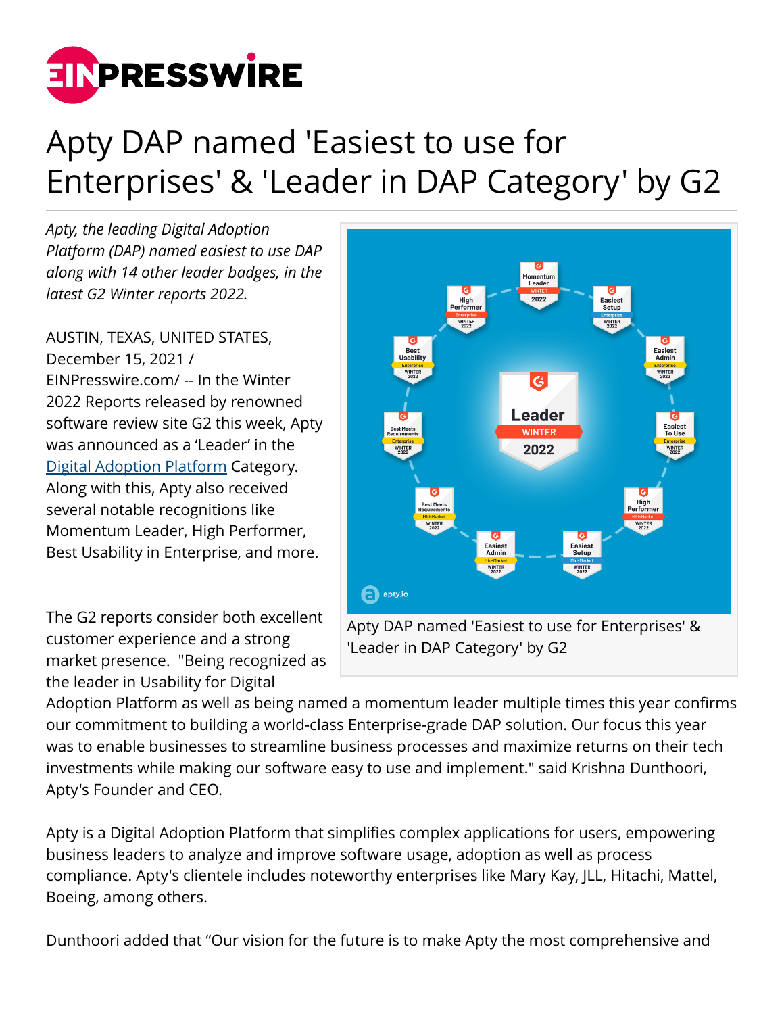

## Apty DAP named 'Easiest to use for Enterprises' & 'Leader in DAP Category' by G2

*Apty, the leading Digital Adoption Platform (DAP) named easiest to use DAP along with 14 other leader badges, in the latest G2 Winter reports 2022.*

AUSTIN, TEXAS, UNITED STATES, December 15, 2021 / [EINPresswire.com](http://www.einpresswire.com)/ -- In the Winter 2022 Reports released by renowned software review site G2 this week, Apty was announced as a 'Leader' in the [Digital Adoption Platform](https://www.apty.io/best-digital-adoption-platform) Category. Along with this, Apty also received several notable recognitions like Momentum Leader, High Performer, Best Usability in Enterprise, and more.

The G2 reports consider both excellent customer experience and a strong market presence. "Being recognized as the leader in Usability for Digital



Adoption Platform as well as being named a momentum leader multiple times this year confirms our commitment to building a world-class Enterprise-grade DAP solution. Our focus this year was to enable businesses to streamline business processes and maximize returns on their tech investments while making our software easy to use and implement." said Krishna Dunthoori, Apty's Founder and CEO.

Apty is a Digital Adoption Platform that simplifies complex applications for users, empowering business leaders to analyze and improve software usage, adoption as well as process compliance. Apty's clientele includes noteworthy enterprises like Mary Kay, JLL, Hitachi, Mattel, Boeing, among others.

Dunthoori added that "Our vision for the future is to make Apty the most comprehensive and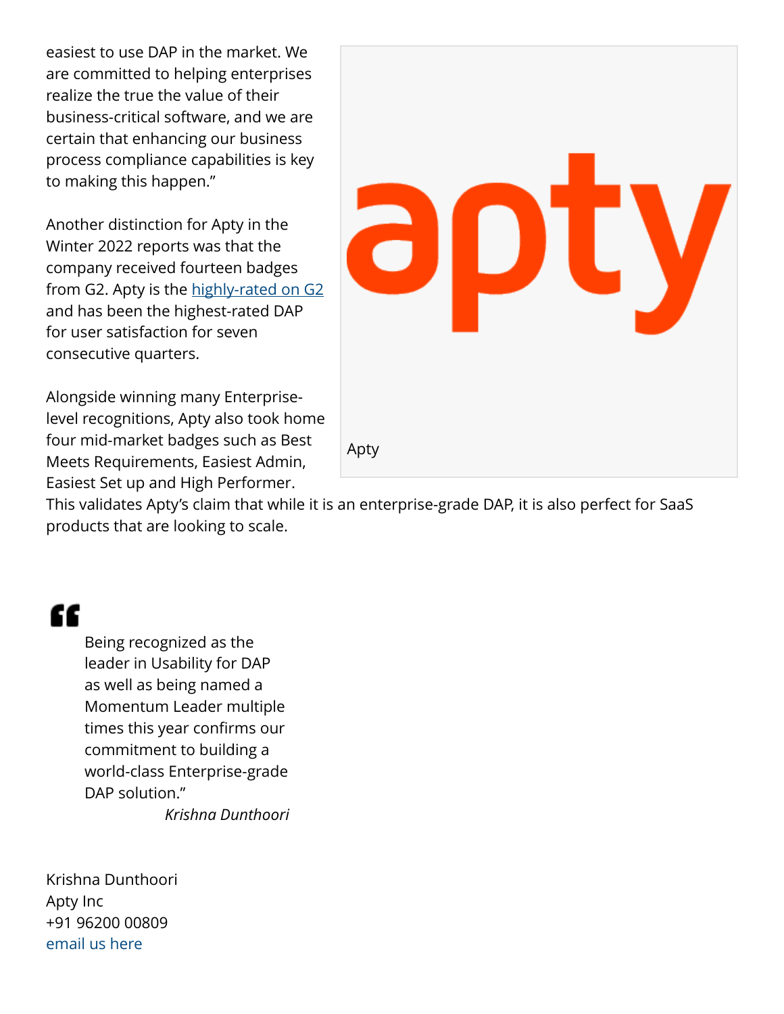easiest to use DAP in the market. We are committed to helping enterprises realize the true the value of their business-critical software, and we are certain that enhancing our business process compliance capabilities is key to making this happen."

Another distinction for Apty in the Winter 2022 reports was that the company received fourteen badges from G2. Apty is the [highly-rated on G2](https://www.g2.com/products/apty/reviews) and has been the highest-rated DAP for user satisfaction for seven consecutive quarters.

Alongside winning many Enterpriselevel recognitions, Apty also took home four mid-market badges such as Best Meets Requirements, Easiest Admin, Easiest Set up and High Performer.



This validates Apty's claim that while it is an enterprise-grade DAP, it is also perfect for SaaS products that are looking to scale.

## "

Being recognized as the leader in Usability for DAP as well as being named a Momentum Leader multiple times this year confirms our commitment to building a world-class Enterprise-grade DAP solution." *Krishna Dunthoori*

Krishna Dunthoori Apty Inc +91 96200 00809 [email us here](http://www.einpresswire.com/contact_author/3219446)